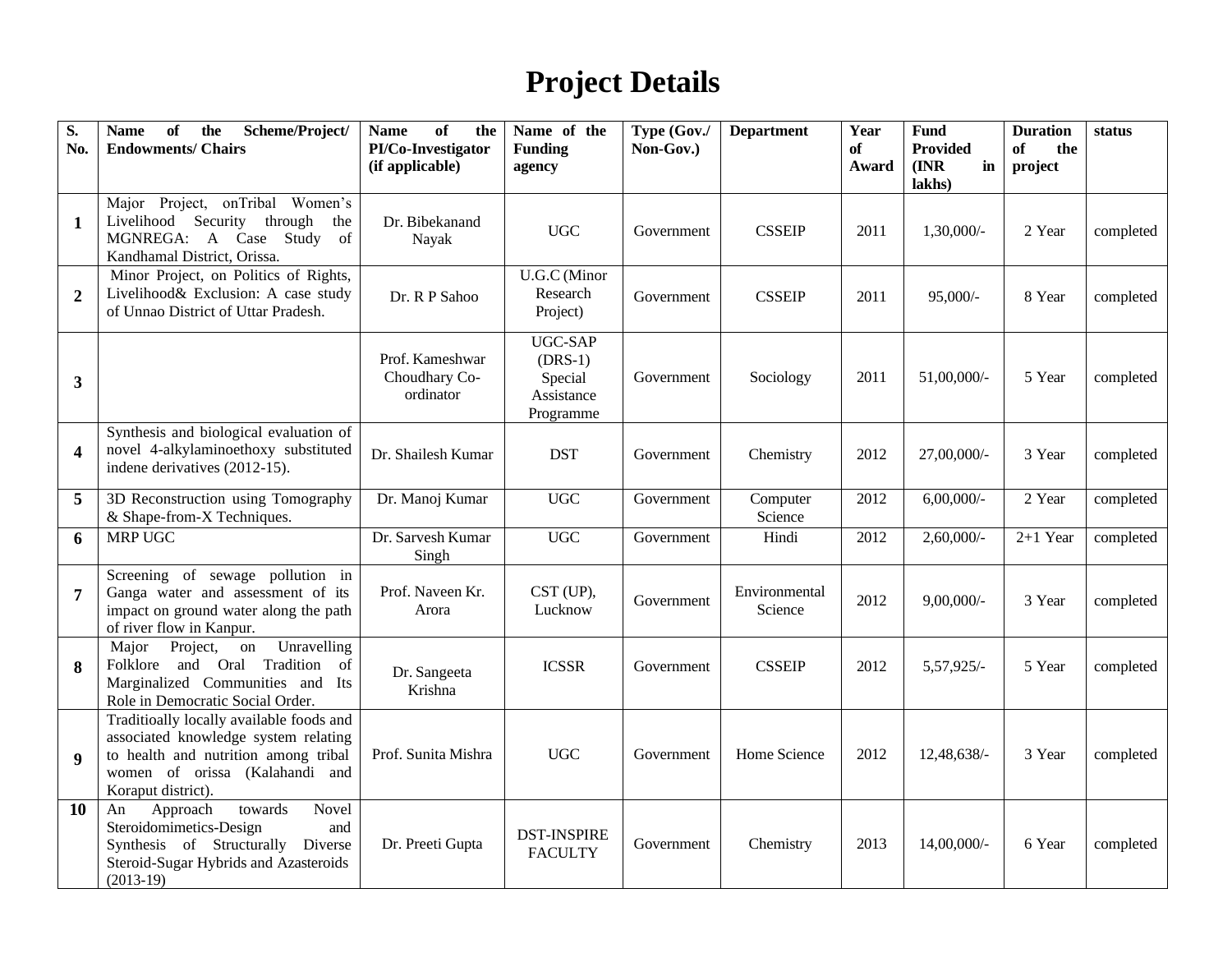## **Project Details**

| S.<br>No.               | of<br><b>Name</b><br>the<br>Scheme/Project/<br><b>Endowments/ Chairs</b>                                                                                                         | of<br><b>Name</b><br>the<br>PI/Co-Investigator<br>(if applicable) | Name of the<br><b>Funding</b><br>agency                           | Type (Gov./<br>Non-Gov.) | <b>Department</b>        | Year<br>of<br>Award | Fund<br><b>Provided</b><br>$(\mathbf{INR})$<br>in<br>lakhs) | <b>Duration</b><br>the<br>of<br>project | status    |
|-------------------------|----------------------------------------------------------------------------------------------------------------------------------------------------------------------------------|-------------------------------------------------------------------|-------------------------------------------------------------------|--------------------------|--------------------------|---------------------|-------------------------------------------------------------|-----------------------------------------|-----------|
| $\mathbf{1}$            | Major Project, onTribal Women's<br>Livelihood Security through<br>the<br>MGNREGA: A Case Study<br>of<br>Kandhamal District, Orissa.                                              | Dr. Bibekanand<br>Nayak                                           | $_{\mathrm UGC}$                                                  | Government               | <b>CSSEIP</b>            | 2011                | 1,30,000/-                                                  | 2 Year                                  | completed |
| $\overline{2}$          | Minor Project, on Politics of Rights,<br>Livelihood& Exclusion: A case study<br>of Unnao District of Uttar Pradesh.                                                              | Dr. R P Sahoo                                                     | U.G.C (Minor<br>Research<br>Project)                              | Government               | <b>CSSEIP</b>            | 2011                | $95,000/-$                                                  | 8 Year                                  | completed |
| 3                       |                                                                                                                                                                                  | Prof. Kameshwar<br>Choudhary Co-<br>ordinator                     | <b>UGC-SAP</b><br>$(DRS-1)$<br>Special<br>Assistance<br>Programme | Government               | Sociology                | 2011                | 51,00,000/-                                                 | 5 Year                                  | completed |
| $\overline{\mathbf{4}}$ | Synthesis and biological evaluation of<br>novel 4-alkylaminoethoxy substituted<br>indene derivatives (2012-15).                                                                  | Dr. Shailesh Kumar                                                | <b>DST</b>                                                        | Government               | Chemistry                | 2012                | 27,00,000/-                                                 | 3 Year                                  | completed |
| 5                       | 3D Reconstruction using Tomography<br>& Shape-from-X Techniques.                                                                                                                 | Dr. Manoj Kumar                                                   | <b>UGC</b>                                                        | Government               | Computer<br>Science      | 2012                | $6,00,000/$ -                                               | 2 Year                                  | completed |
| 6                       | <b>MRP UGC</b>                                                                                                                                                                   | Dr. Sarvesh Kumar<br>Singh                                        | $_{\mathrm UGC}$                                                  | Government               | Hindi                    | 2012                | $2,60,000/$ -                                               | $2+1$ Year                              | completed |
| $\overline{7}$          | Screening of sewage pollution in<br>Ganga water and assessment of its<br>impact on ground water along the path<br>of river flow in Kanpur.                                       | Prof. Naveen Kr.<br>Arora                                         | CST (UP),<br>Lucknow                                              | Government               | Environmental<br>Science | 2012                | $9,00,000/$ -                                               | 3 Year                                  | completed |
| 8                       | Unravelling<br>Project,<br>Major<br>on<br>Folklore and Oral Tradition<br>of<br>Marginalized Communities and Its<br>Role in Democratic Social Order.                              | Dr. Sangeeta<br>Krishna                                           | <b>ICSSR</b>                                                      | Government               | <b>CSSEIP</b>            | 2012                | 5,57,925/-                                                  | 5 Year                                  | completed |
| 9                       | Traditioally locally available foods and<br>associated knowledge system relating<br>to health and nutrition among tribal<br>women of orissa (Kalahandi and<br>Koraput district). | Prof. Sunita Mishra                                               | $_{\mathrm UGC}$                                                  | Government               | Home Science             | 2012                | 12,48,638/-                                                 | 3 Year                                  | completed |
| 10                      | towards<br>Novel<br>Approach<br>An<br>Steroidomimetics-Design<br>and<br>Synthesis of Structurally Diverse<br>Steroid-Sugar Hybrids and Azasteroids<br>$(2013-19)$                | Dr. Preeti Gupta                                                  | <b>DST-INSPIRE</b><br><b>FACULTY</b>                              | Government               | Chemistry                | 2013                | 14,00,000/-                                                 | 6 Year                                  | completed |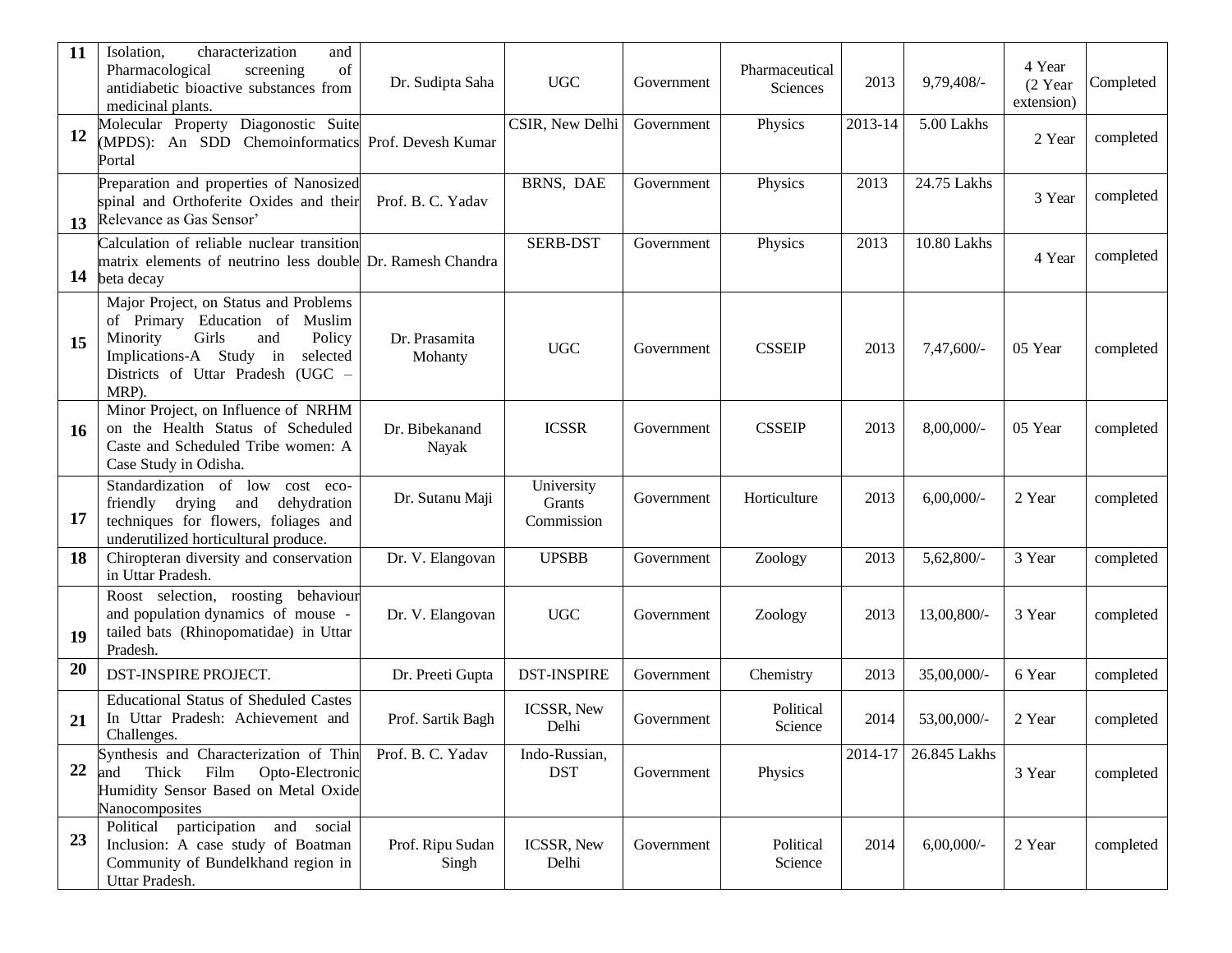| 11 | Isolation,<br>characterization<br>and<br>of<br>Pharmacological<br>screening<br>antidiabetic bioactive substances from<br>medicinal plants.                                                         | Dr. Sudipta Saha          | <b>UGC</b>                         | Government | Pharmaceutical<br>Sciences | 2013    | 9,79,408/-    | 4 Year<br>(2 Year<br>extension) | Completed |
|----|----------------------------------------------------------------------------------------------------------------------------------------------------------------------------------------------------|---------------------------|------------------------------------|------------|----------------------------|---------|---------------|---------------------------------|-----------|
| 12 | Molecular Property Diagonostic Suite<br>(MPDS): An SDD Chemoinformatics<br>Portal                                                                                                                  | Prof. Devesh Kumar        | CSIR, New Delhi                    | Government | Physics                    | 2013-14 | 5.00 Lakhs    | 2 Year                          | completed |
| 13 | Preparation and properties of Nanosized<br>spinal and Orthoferite Oxides and their<br>Relevance as Gas Sensor'                                                                                     | Prof. B. C. Yadav         | BRNS, DAE                          | Government | Physics                    | 2013    | 24.75 Lakhs   | 3 Year                          | completed |
| 14 | Calculation of reliable nuclear transition<br>matrix elements of neutrino less double Dr. Ramesh Chandra<br>beta decay                                                                             |                           | <b>SERB-DST</b>                    | Government | Physics                    | 2013    | 10.80 Lakhs   | 4 Year                          | completed |
| 15 | Major Project, on Status and Problems<br>of Primary Education of Muslim<br>Girls<br>Minority<br>and<br>Policy<br>Implications-A Study in<br>selected<br>Districts of Uttar Pradesh (UGC -<br>MRP). | Dr. Prasamita<br>Mohanty  | <b>UGC</b>                         | Government | <b>CSSEIP</b>              | 2013    | 7,47,600/-    | 05 Year                         | completed |
| 16 | Minor Project, on Influence of NRHM<br>on the Health Status of Scheduled<br>Caste and Scheduled Tribe women: A<br>Case Study in Odisha.                                                            | Dr. Bibekanand<br>Nayak   | <b>ICSSR</b>                       | Government | <b>CSSEIP</b>              | 2013    | 8,00,000/-    | 05 Year                         | completed |
| 17 | Standardization of low cost eco-<br>friendly drying and<br>dehydration<br>techniques for flowers, foliages and<br>underutilized horticultural produce.                                             | Dr. Sutanu Maji           | University<br>Grants<br>Commission | Government | Horticulture               | 2013    | $6,00,000/$ - | 2 Year                          | completed |
| 18 | Chiropteran diversity and conservation<br>in Uttar Pradesh.                                                                                                                                        | Dr. V. Elangovan          | <b>UPSBB</b>                       | Government | Zoology                    | 2013    | 5,62,800/-    | 3 Year                          | completed |
| 19 | Roost selection, roosting behaviour<br>and population dynamics of mouse -<br>tailed bats (Rhinopomatidae) in Uttar<br>Pradesh.                                                                     | Dr. V. Elangovan          | <b>UGC</b>                         | Government | Zoology                    | 2013    | 13,00,800/-   | 3 Year                          | completed |
| 20 | <b>DST-INSPIRE PROJECT.</b>                                                                                                                                                                        | Dr. Preeti Gupta          | <b>DST-INSPIRE</b>                 | Government | Chemistry                  | 2013    | 35,00,000/-   | 6 Year                          | completed |
| 21 | <b>Educational Status of Sheduled Castes</b><br>In Uttar Pradesh: Achievement and<br>Challenges.                                                                                                   | Prof. Sartik Bagh         | ICSSR, New<br>Delhi                | Government | Political<br>Science       | 2014    | 53,00,000/-   | 2 Year                          | completed |
| 22 | Synthesis and Characterization of Thin<br>Thick<br>Film<br>Opto-Electronic<br>and<br>Humidity Sensor Based on Metal Oxide<br>Nanocomposites                                                        | Prof. B. C. Yadav         | Indo-Russian,<br><b>DST</b>        | Government | Physics                    | 2014-17 | 26.845 Lakhs  | 3 Year                          | completed |
| 23 | Political participation and social<br>Inclusion: A case study of Boatman<br>Community of Bundelkhand region in<br>Uttar Pradesh.                                                                   | Prof. Ripu Sudan<br>Singh | ICSSR, New<br>Delhi                | Government | Political<br>Science       | 2014    | $6,00,000/$ - | 2 Year                          | completed |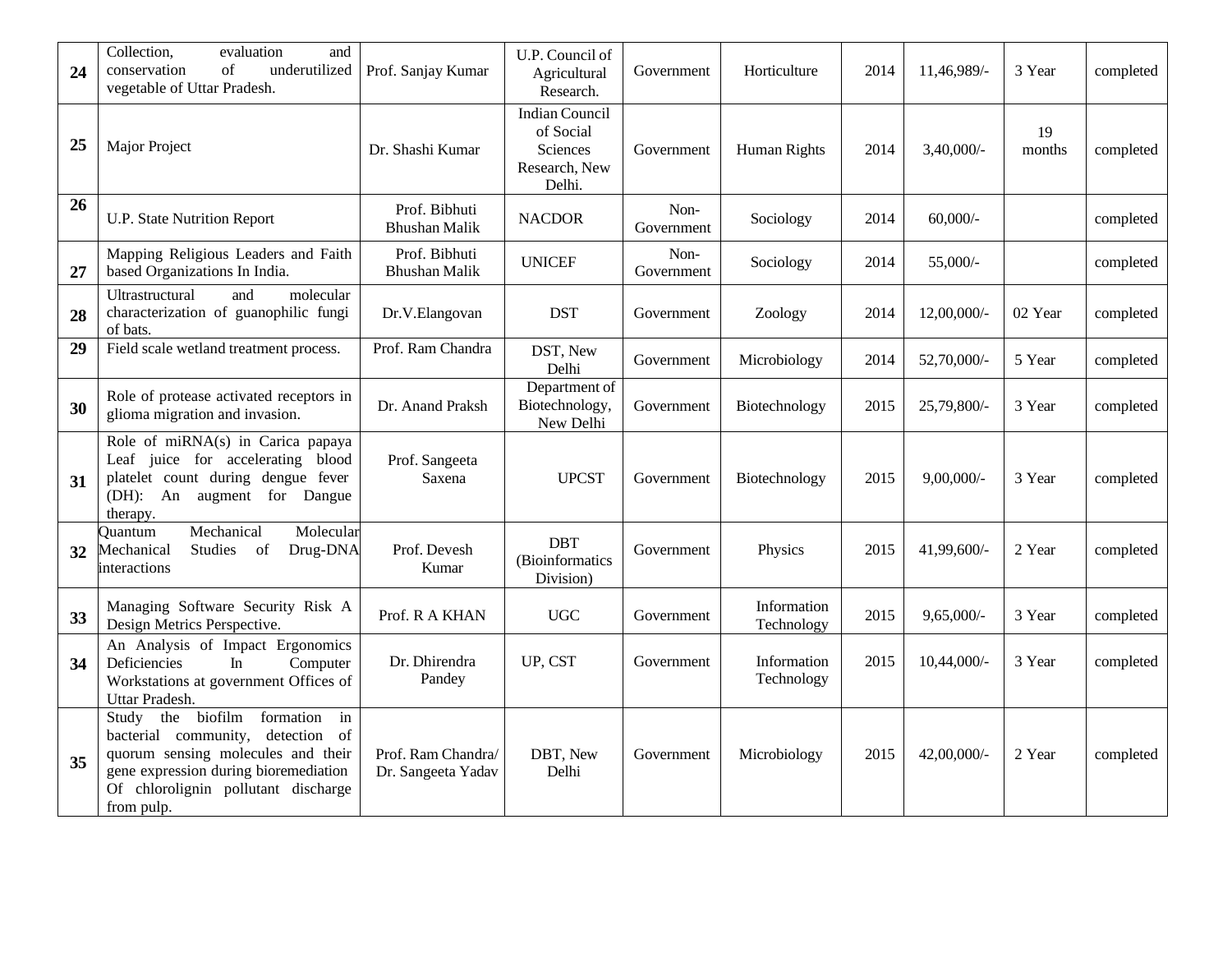| 24 | Collection,<br>evaluation<br>and<br>of<br>underutilized<br>conservation<br>vegetable of Uttar Pradesh.                                                                                                           | Prof. Sanjay Kumar                       | U.P. Council of<br>Agricultural<br>Research.                                     | Government         | Horticulture              | 2014 | 11,46,989/-   | 3 Year       | completed |
|----|------------------------------------------------------------------------------------------------------------------------------------------------------------------------------------------------------------------|------------------------------------------|----------------------------------------------------------------------------------|--------------------|---------------------------|------|---------------|--------------|-----------|
| 25 | Major Project                                                                                                                                                                                                    | Dr. Shashi Kumar                         | <b>Indian Council</b><br>of Social<br><b>Sciences</b><br>Research, New<br>Delhi. | Government         | Human Rights              | 2014 | $3,40,000/$ - | 19<br>months | completed |
| 26 | U.P. State Nutrition Report                                                                                                                                                                                      | Prof. Bibhuti<br><b>Bhushan Malik</b>    | <b>NACDOR</b>                                                                    | Non-<br>Government | Sociology                 | 2014 | $60,000/$ -   |              | completed |
| 27 | Mapping Religious Leaders and Faith<br>based Organizations In India.                                                                                                                                             | Prof. Bibhuti<br><b>Bhushan Malik</b>    | <b>UNICEF</b>                                                                    | Non-<br>Government | Sociology                 | 2014 | $55,000/-$    |              | completed |
| 28 | Ultrastructural<br>and<br>molecular<br>characterization of guanophilic fungi<br>of bats.                                                                                                                         | Dr.V.Elangovan                           | <b>DST</b>                                                                       | Government         | Zoology                   | 2014 | 12,00,000/-   | 02 Year      | completed |
| 29 | Field scale wetland treatment process.                                                                                                                                                                           | Prof. Ram Chandra                        | DST, New<br>Delhi                                                                | Government         | Microbiology              | 2014 | 52,70,000/-   | 5 Year       | completed |
| 30 | Role of protease activated receptors in<br>glioma migration and invasion.                                                                                                                                        | Dr. Anand Praksh                         | Department of<br>Biotechnology,<br>New Delhi                                     | Government         | Biotechnology             | 2015 | 25,79,800/-   | 3 Year       | completed |
| 31 | Role of miRNA(s) in Carica papaya<br>Leaf juice for accelerating blood<br>platelet count during dengue fever<br>(DH): An augment for Dangue<br>therapy.                                                          | Prof. Sangeeta<br>Saxena                 | <b>UPCST</b>                                                                     | Government         | Biotechnology             | 2015 | $9,00,000/$ - | 3 Year       | completed |
| 32 | Molecular<br>Mechanical<br>Ouantum<br>of<br>Drug-DNA<br>Mechanical<br>Studies<br>interactions                                                                                                                    | Prof. Devesh<br>Kumar                    | <b>DBT</b><br>(Bioinformatics<br>Division)                                       | Government         | Physics                   | 2015 | 41,99,600/-   | 2 Year       | completed |
| 33 | Managing Software Security Risk A<br>Design Metrics Perspective.                                                                                                                                                 | Prof. R A KHAN                           | <b>UGC</b>                                                                       | Government         | Information<br>Technology | 2015 | $9,65,000/-$  | 3 Year       | completed |
| 34 | An Analysis of Impact Ergonomics<br>Deficiencies<br>In<br>Computer<br>Workstations at government Offices of<br>Uttar Pradesh.                                                                                    | Dr. Dhirendra<br>Pandey                  | UP, CST                                                                          | Government         | Information<br>Technology | 2015 | 10,44,000/-   | 3 Year       | completed |
| 35 | the biofilm<br>formation<br>in<br>Study<br>bacterial community, detection of<br>quorum sensing molecules and their<br>gene expression during bioremediation<br>Of chlorolignin pollutant discharge<br>from pulp. | Prof. Ram Chandra/<br>Dr. Sangeeta Yadav | DBT, New<br>Delhi                                                                | Government         | Microbiology              | 2015 | 42,00,000/-   | 2 Year       | completed |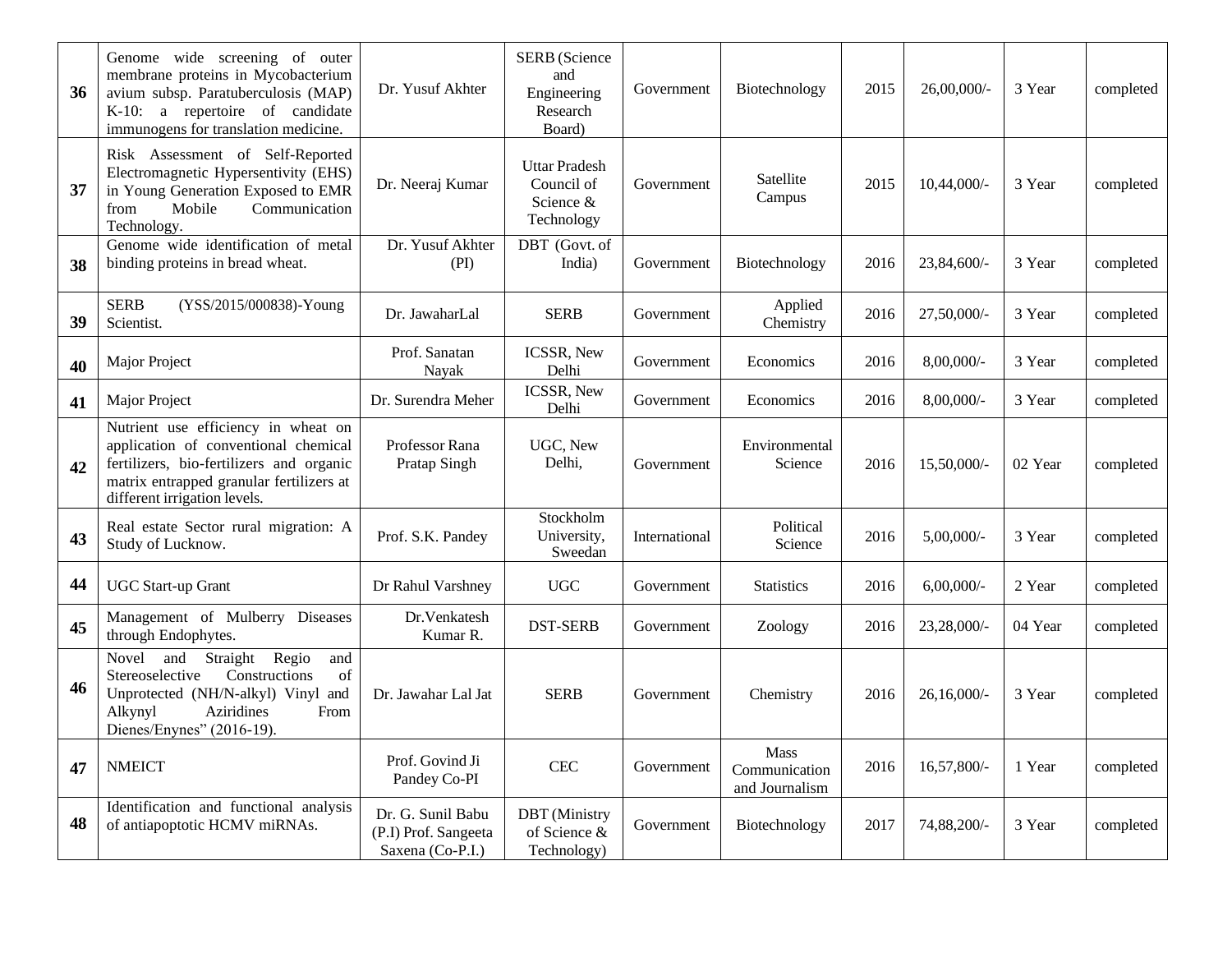| 36 | Genome wide screening of outer<br>membrane proteins in Mycobacterium<br>avium subsp. Paratuberculosis (MAP)<br>K-10: a repertoire of candidate<br>immunogens for translation medicine.              | Dr. Yusuf Akhter                                              | <b>SERB</b> (Science<br>and<br>Engineering<br>Research<br>Board) | Government    | Biotechnology                           | 2015 | $26,00,000/$ - | 3 Year  | completed |
|----|-----------------------------------------------------------------------------------------------------------------------------------------------------------------------------------------------------|---------------------------------------------------------------|------------------------------------------------------------------|---------------|-----------------------------------------|------|----------------|---------|-----------|
| 37 | Risk Assessment of Self-Reported<br>Electromagnetic Hypersentivity (EHS)<br>in Young Generation Exposed to EMR<br>Mobile<br>from<br>Communication<br>Technology.                                    | Dr. Neeraj Kumar                                              | <b>Uttar Pradesh</b><br>Council of<br>Science &<br>Technology    | Government    | Satellite<br>Campus                     | 2015 | $10,44,000/-$  | 3 Year  | completed |
| 38 | Genome wide identification of metal<br>binding proteins in bread wheat.                                                                                                                             | Dr. Yusuf Akhter<br>(PI)                                      | DBT (Govt. of<br>India)                                          | Government    | Biotechnology                           | 2016 | 23,84,600/-    | 3 Year  | completed |
| 39 | <b>SERB</b><br>(YSS/2015/000838)-Young<br>Scientist.                                                                                                                                                | Dr. JawaharLal                                                | <b>SERB</b>                                                      | Government    | Applied<br>Chemistry                    | 2016 | 27,50,000/-    | 3 Year  | completed |
| 40 | Major Project                                                                                                                                                                                       | Prof. Sanatan<br>Nayak                                        | ICSSR, New<br>Delhi                                              | Government    | Economics                               | 2016 | 8,00,000/-     | 3 Year  | completed |
| 41 | <b>Major Project</b>                                                                                                                                                                                | Dr. Surendra Meher                                            | ICSSR, New<br>Delhi                                              | Government    | Economics                               | 2016 | 8,00,000/-     | 3 Year  | completed |
| 42 | Nutrient use efficiency in wheat on<br>application of conventional chemical<br>fertilizers, bio-fertilizers and organic<br>matrix entrapped granular fertilizers at<br>different irrigation levels. | Professor Rana<br>Pratap Singh                                | UGC, New<br>Delhi,                                               | Government    | Environmental<br>Science                | 2016 | 15,50,000/-    | 02 Year | completed |
| 43 | Real estate Sector rural migration: A<br>Study of Lucknow.                                                                                                                                          | Prof. S.K. Pandey                                             | Stockholm<br>University,<br>Sweedan                              | International | Political<br>Science                    | 2016 | $5,00,000/$ -  | 3 Year  | completed |
| 44 | <b>UGC</b> Start-up Grant                                                                                                                                                                           | Dr Rahul Varshney                                             | <b>UGC</b>                                                       | Government    | <b>Statistics</b>                       | 2016 | $6,00,000/$ -  | 2 Year  | completed |
| 45 | Management of Mulberry Diseases<br>through Endophytes.                                                                                                                                              | Dr.Venkatesh<br>Kumar R.                                      | <b>DST-SERB</b>                                                  | Government    | Zoology                                 | 2016 | 23,28,000/-    | 04 Year | completed |
| 46 | Straight Regio<br>Novel and<br>and<br>of<br>Constructions<br>Stereoselective<br>Unprotected (NH/N-alkyl) Vinyl and<br>Aziridines<br>Alkynyl<br>From<br>Dienes/Enynes" (2016-19).                    | Dr. Jawahar Lal Jat                                           | <b>SERB</b>                                                      | Government    | Chemistry                               | 2016 | 26,16,000/     | 3 Year  | completed |
| 47 | <b>NMEICT</b>                                                                                                                                                                                       | Prof. Govind Ji<br>Pandey Co-PI                               | CEC                                                              | Government    | Mass<br>Communication<br>and Journalism | 2016 | 16,57,800/-    | 1 Year  | completed |
| 48 | Identification and functional analysis<br>of antiapoptotic HCMV miRNAs.                                                                                                                             | Dr. G. Sunil Babu<br>(P.I) Prof. Sangeeta<br>Saxena (Co-P.I.) | <b>DBT</b> (Ministry<br>of Science &<br>Technology)              | Government    | Biotechnology                           | 2017 | 74,88,200/-    | 3 Year  | completed |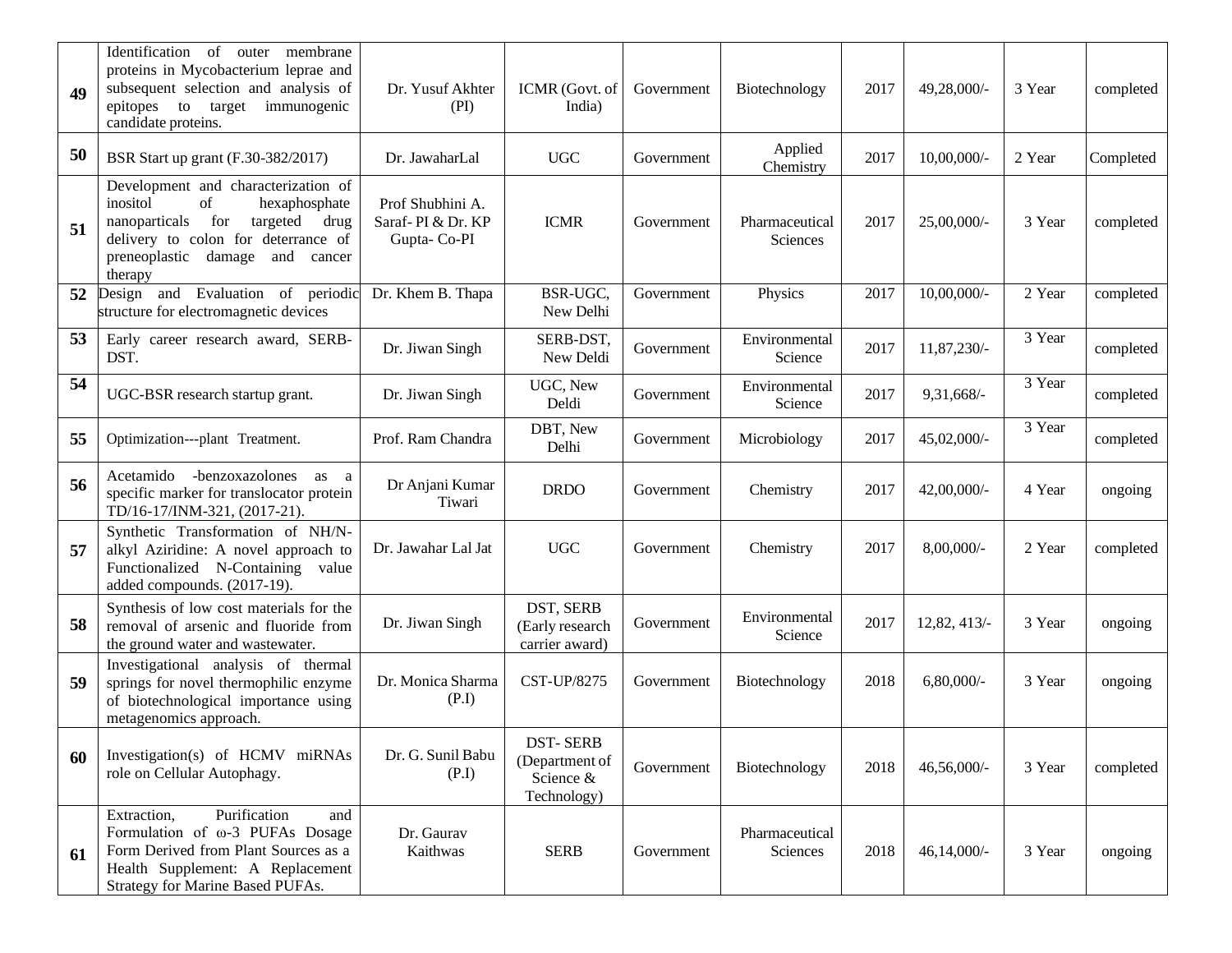| 49 | Identification of<br>membrane<br>outer<br>proteins in Mycobacterium leprae and<br>subsequent selection and analysis of<br>epitopes to target immunogenic<br>candidate proteins.                      | Dr. Yusuf Akhter<br>(PI)                             | ICMR (Govt. of<br>India)                                      | Government | Biotechnology              | 2017 | 49,28,000/-    | 3 Year | completed |
|----|------------------------------------------------------------------------------------------------------------------------------------------------------------------------------------------------------|------------------------------------------------------|---------------------------------------------------------------|------------|----------------------------|------|----------------|--------|-----------|
| 50 | BSR Start up grant (F.30-382/2017)                                                                                                                                                                   | Dr. JawaharLal                                       | <b>UGC</b>                                                    | Government | Applied<br>Chemistry       | 2017 | 10,00,000/-    | 2 Year | Completed |
| 51 | Development and characterization of<br>inositol<br>of<br>hexaphosphate<br>nanoparticals<br>for<br>targeted drug<br>delivery to colon for deterrance of<br>preneoplastic damage and cancer<br>therapy | Prof Shubhini A.<br>Saraf-PI & Dr. KP<br>Gupta-Co-PI | <b>ICMR</b>                                                   | Government | Pharmaceutical<br>Sciences | 2017 | 25,00,000/-    | 3 Year | completed |
| 52 | Design and Evaluation of periodic<br>structure for electromagnetic devices                                                                                                                           | Dr. Khem B. Thapa                                    | BSR-UGC,<br>New Delhi                                         | Government | Physics                    | 2017 | $10,00,000/$ - | 2 Year | completed |
| 53 | Early career research award, SERB-<br>DST.                                                                                                                                                           | Dr. Jiwan Singh                                      | SERB-DST,<br>New Deldi                                        | Government | Environmental<br>Science   | 2017 | 11,87,230/-    | 3 Year | completed |
| 54 | UGC-BSR research startup grant.                                                                                                                                                                      | Dr. Jiwan Singh                                      | UGC, New<br>Deldi                                             | Government | Environmental<br>Science   | 2017 | 9,31,668/-     | 3 Year | completed |
| 55 | Optimization---plant Treatment.                                                                                                                                                                      | Prof. Ram Chandra                                    | DBT, New<br>Delhi                                             | Government | Microbiology               | 2017 | 45,02,000/-    | 3 Year | completed |
| 56 | -benzoxazolones<br>Acetamido<br>as a<br>specific marker for translocator protein<br>TD/16-17/INM-321, (2017-21).                                                                                     | Dr Anjani Kumar<br>Tiwari                            | <b>DRDO</b>                                                   | Government | Chemistry                  | 2017 | 42,00,000/-    | 4 Year | ongoing   |
| 57 | Synthetic Transformation of NH/N-<br>alkyl Aziridine: A novel approach to<br>Functionalized N-Containing value<br>added compounds. (2017-19).                                                        | Dr. Jawahar Lal Jat                                  | <b>UGC</b>                                                    | Government | Chemistry                  | 2017 | 8,00,000/-     | 2 Year | completed |
| 58 | Synthesis of low cost materials for the<br>removal of arsenic and fluoride from<br>the ground water and wastewater.                                                                                  | Dr. Jiwan Singh                                      | DST, SERB<br>(Early research<br>carrier award)                | Government | Environmental<br>Science   | 2017 | 12,82, 413/-   | 3 Year | ongoing   |
| 59 | Investigational analysis of thermal<br>springs for novel thermophilic enzyme<br>of biotechnological importance using<br>metagenomics approach.                                                       | Dr. Monica Sharma<br>(P.I)                           | CST-UP/8275                                                   | Government | Biotechnology              | 2018 | $6,80,000/$ -  | 3 Year | ongoing   |
| 60 | Investigation(s) of HCMV miRNAs<br>role on Cellular Autophagy.                                                                                                                                       | Dr. G. Sunil Babu<br>(P.I)                           | <b>DST-SERB</b><br>(Department of<br>Science &<br>Technology) | Government | Biotechnology              | 2018 | 46,56,000/-    | 3 Year | completed |
| 61 | Purification<br>Extraction,<br>and<br>Formulation of $\omega$ -3 PUFAs Dosage<br>Form Derived from Plant Sources as a<br>Health Supplement: A Replacement<br>Strategy for Marine Based PUFAs.        | Dr. Gaurav<br>Kaithwas                               | <b>SERB</b>                                                   | Government | Pharmaceutical<br>Sciences | 2018 | $46,14,000/$ - | 3 Year | ongoing   |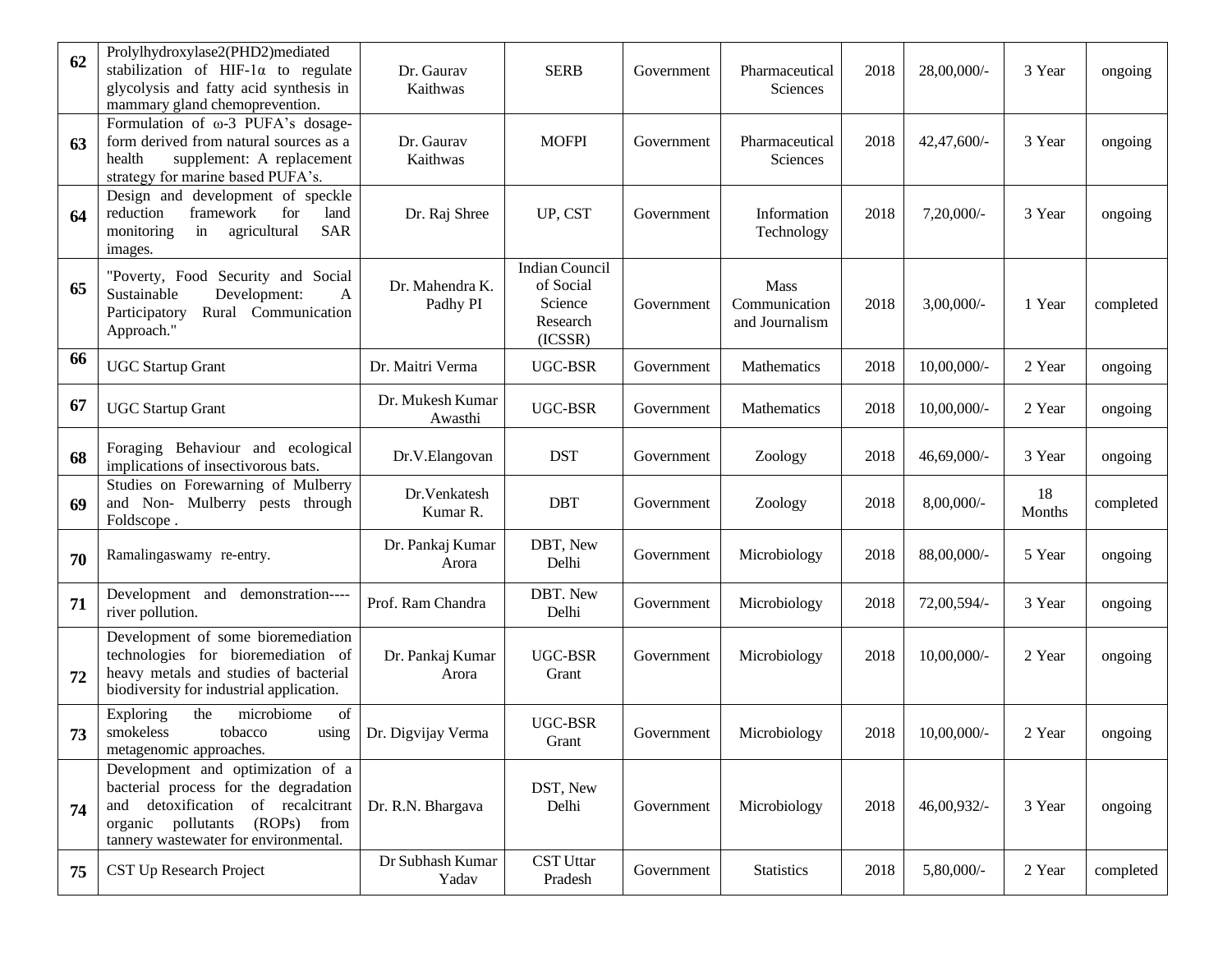| 62 | Prolylhydroxylase2(PHD2)mediated<br>stabilization of HIF-1 $\alpha$ to regulate<br>glycolysis and fatty acid synthesis in<br>mammary gland chemoprevention.                                       | Dr. Gaurav<br>Kaithwas      | <b>SERB</b>                                                          | Government | Pharmaceutical<br>Sciences              | 2018 | 28,00,000/-    | 3 Year       | ongoing   |
|----|---------------------------------------------------------------------------------------------------------------------------------------------------------------------------------------------------|-----------------------------|----------------------------------------------------------------------|------------|-----------------------------------------|------|----------------|--------------|-----------|
| 63 | Formulation of $\omega$ -3 PUFA's dosage-<br>form derived from natural sources as a<br>health<br>supplement: A replacement<br>strategy for marine based PUFA's.                                   | Dr. Gaurav<br>Kaithwas      | <b>MOFPI</b>                                                         | Government | Pharmaceutical<br><b>Sciences</b>       | 2018 | 42,47,600/-    | 3 Year       | ongoing   |
| 64 | Design and development of speckle<br>framework<br>for<br>reduction<br>land<br><b>SAR</b><br>monitoring<br>agricultural<br>in<br>images.                                                           | Dr. Raj Shree               | UP, CST                                                              | Government | Information<br>Technology               | 2018 | 7,20,000/-     | 3 Year       | ongoing   |
| 65 | "Poverty, Food Security and Social<br>Sustainable<br>Development:<br>$\mathbf{A}$<br>Participatory<br>Rural Communication<br>Approach."                                                           | Dr. Mahendra K.<br>Padhy PI | <b>Indian Council</b><br>of Social<br>Science<br>Research<br>(ICSSR) | Government | Mass<br>Communication<br>and Journalism | 2018 | $3,00,000/$ -  | 1 Year       | completed |
| 66 | <b>UGC Startup Grant</b>                                                                                                                                                                          | Dr. Maitri Verma            | UGC-BSR                                                              | Government | Mathematics                             | 2018 | 10,00,000/-    | 2 Year       | ongoing   |
| 67 | <b>UGC Startup Grant</b>                                                                                                                                                                          | Dr. Mukesh Kumar<br>Awasthi | <b>UGC-BSR</b>                                                       | Government | Mathematics                             | 2018 | 10,00,000/-    | 2 Year       | ongoing   |
| 68 | Foraging Behaviour and ecological<br>implications of insectivorous bats.                                                                                                                          | Dr.V.Elangovan              | <b>DST</b>                                                           | Government | Zoology                                 | 2018 | 46,69,000/-    | 3 Year       | ongoing   |
| 69 | Studies on Forewarning of Mulberry<br>and Non- Mulberry pests through<br>Foldscope.                                                                                                               | Dr.Venkatesh<br>Kumar R.    | <b>DBT</b>                                                           | Government | Zoology                                 | 2018 | 8,00,000/-     | 18<br>Months | completed |
| 70 | Ramalingaswamy re-entry.                                                                                                                                                                          | Dr. Pankaj Kumar<br>Arora   | DBT, New<br>Delhi                                                    | Government | Microbiology                            | 2018 | 88,00,000/-    | 5 Year       | ongoing   |
| 71 | Development and<br>demonstration----<br>river pollution.                                                                                                                                          | Prof. Ram Chandra           | DBT. New<br>Delhi                                                    | Government | Microbiology                            | 2018 | 72,00,594/-    | 3 Year       | ongoing   |
| 72 | Development of some bioremediation<br>technologies for bioremediation of<br>heavy metals and studies of bacterial<br>biodiversity for industrial application.                                     | Dr. Pankaj Kumar<br>Arora   | UGC-BSR<br>Grant                                                     | Government | Microbiology                            | 2018 | $10,00,000/$ - | 2 Year       | ongoing   |
| 73 | microbiome<br>the<br>Exploring<br>of<br>smokeless<br>tobacco<br>using<br>metagenomic approaches.                                                                                                  | Dr. Digvijay Verma          | UGC-BSR<br>Grant                                                     | Government | Microbiology                            | 2018 | $10,00,000/$ - | 2 Year       | ongoing   |
| 74 | Development and optimization of a<br>bacterial process for the degradation<br>detoxification of recalcitrant<br>and<br>(ROPs) from<br>organic pollutants<br>tannery wastewater for environmental. | Dr. R.N. Bhargava           | DST, New<br>Delhi                                                    | Government | Microbiology                            | 2018 | 46,00,932/-    | 3 Year       | ongoing   |
| 75 | CST Up Research Project                                                                                                                                                                           | Dr Subhash Kumar<br>Yadav   | <b>CST Uttar</b><br>Pradesh                                          | Government | <b>Statistics</b>                       | 2018 | 5,80,000/-     | 2 Year       | completed |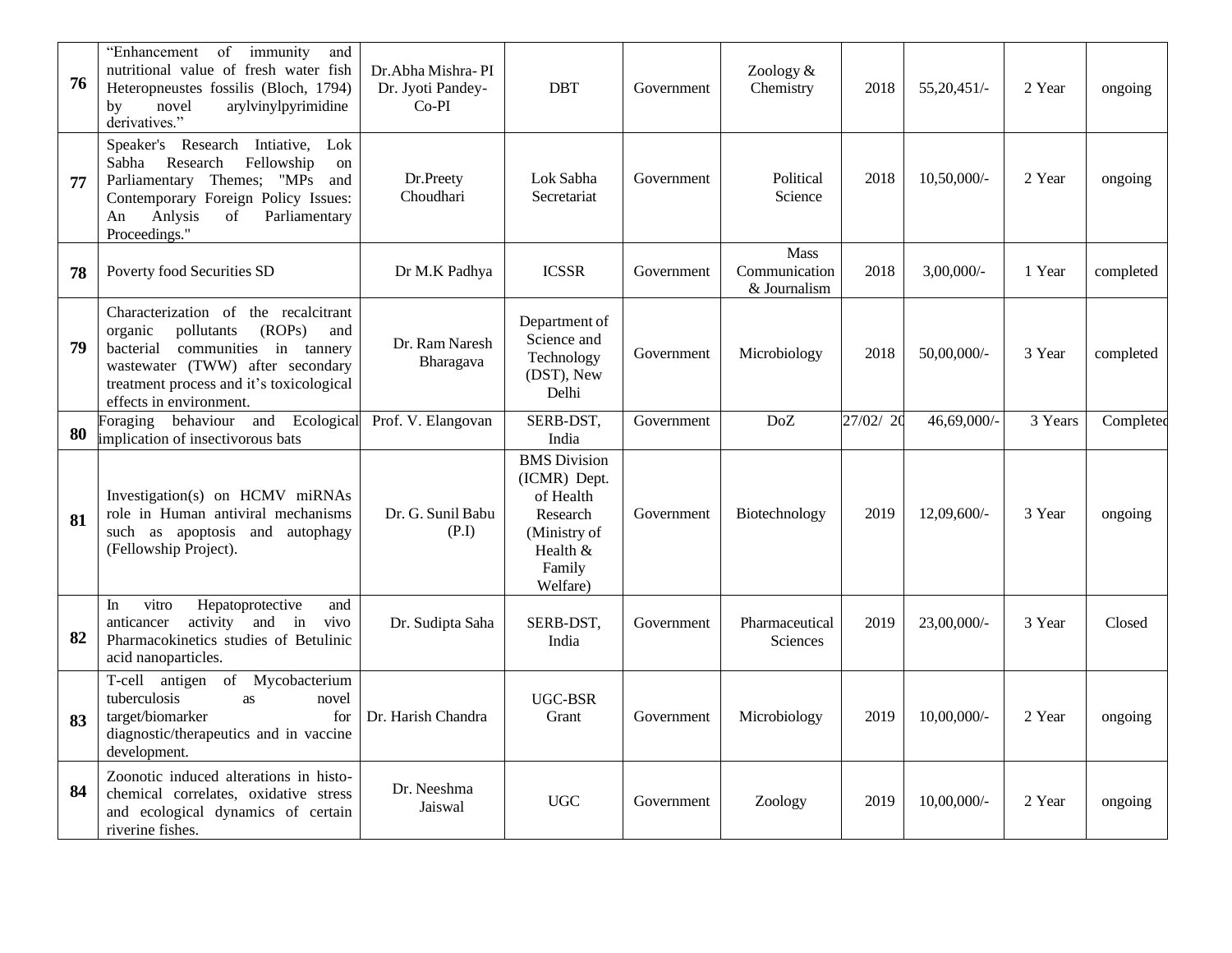| 76 | "Enhancement of immunity<br>and<br>nutritional value of fresh water fish<br>Heteropneustes fossilis (Bloch, 1794)<br>arylvinylpyrimidine<br>novel<br>by<br>derivatives."                                                      | Dr. Abha Mishra-PI<br>Dr. Jyoti Pandey-<br>$Co-PI$ | <b>DBT</b>                                                                                                     | Government | Zoology &<br>Chemistry                       | 2018     | 55,20,451/-    | 2 Year  | ongoing   |
|----|-------------------------------------------------------------------------------------------------------------------------------------------------------------------------------------------------------------------------------|----------------------------------------------------|----------------------------------------------------------------------------------------------------------------|------------|----------------------------------------------|----------|----------------|---------|-----------|
| 77 | Speaker's Research Intiative, Lok<br>Fellowship<br>Research<br>Sabha<br>on<br>Parliamentary Themes; "MPs and<br>Contemporary Foreign Policy Issues:<br>Anlysis<br>Parliamentary<br>An<br>of<br>Proceedings."                  | Dr.Preety<br>Choudhari                             | Lok Sabha<br>Secretariat                                                                                       | Government | Political<br>Science                         | 2018     | 10,50,000/-    | 2 Year  | ongoing   |
| 78 | Poverty food Securities SD                                                                                                                                                                                                    | Dr M.K Padhya                                      | <b>ICSSR</b>                                                                                                   | Government | <b>Mass</b><br>Communication<br>& Journalism | 2018     | 3,00,000/-     | 1 Year  | completed |
| 79 | Characterization of the recalcitrant<br>pollutants<br>(ROPs)<br>organic<br>and<br>bacterial communities in tannery<br>wastewater (TWW) after secondary<br>treatment process and it's toxicological<br>effects in environment. | Dr. Ram Naresh<br>Bharagava                        | Department of<br>Science and<br>Technology<br>(DST), New<br>Delhi                                              | Government | Microbiology                                 | 2018     | 50,00,000/-    | 3 Year  | completed |
| 80 | Foraging behaviour and Ecological<br>implication of insectivorous bats                                                                                                                                                        | Prof. V. Elangovan                                 | SERB-DST,<br>India                                                                                             | Government | DoZ                                          | 27/02/20 | 46,69,000/-    | 3 Years | Completed |
| 81 | Investigation(s) on HCMV miRNAs<br>role in Human antiviral mechanisms<br>such as apoptosis and autophagy<br>(Fellowship Project).                                                                                             | Dr. G. Sunil Babu<br>(P.I)                         | <b>BMS</b> Division<br>(ICMR) Dept.<br>of Health<br>Research<br>(Ministry of<br>Health &<br>Family<br>Welfare) | Government | Biotechnology                                | 2019     | 12,09,600/-    | 3 Year  | ongoing   |
| 82 | Hepatoprotective<br>vitro<br>and<br>In<br>activity and in<br>vivo<br>anticancer<br>Pharmacokinetics studies of Betulinic<br>acid nanoparticles.                                                                               | Dr. Sudipta Saha                                   | SERB-DST,<br>India                                                                                             | Government | Pharmaceutical<br><b>Sciences</b>            | 2019     | 23,00,000/-    | 3 Year  | Closed    |
| 83 | T-cell antigen of Mycobacterium<br>tuberculosis<br>as<br>novel<br>target/biomarker<br>for<br>diagnostic/therapeutics and in vaccine<br>development.                                                                           | Dr. Harish Chandra                                 | <b>UGC-BSR</b><br>Grant                                                                                        | Government | Microbiology                                 | 2019     | 10,00,000/-    | 2 Year  | ongoing   |
| 84 | Zoonotic induced alterations in histo-<br>chemical correlates, oxidative stress<br>and ecological dynamics of certain<br>riverine fishes.                                                                                     | Dr. Neeshma<br>Jaiswal                             | <b>UGC</b>                                                                                                     | Government | Zoology                                      | 2019     | $10,00,000/$ - | 2 Year  | ongoing   |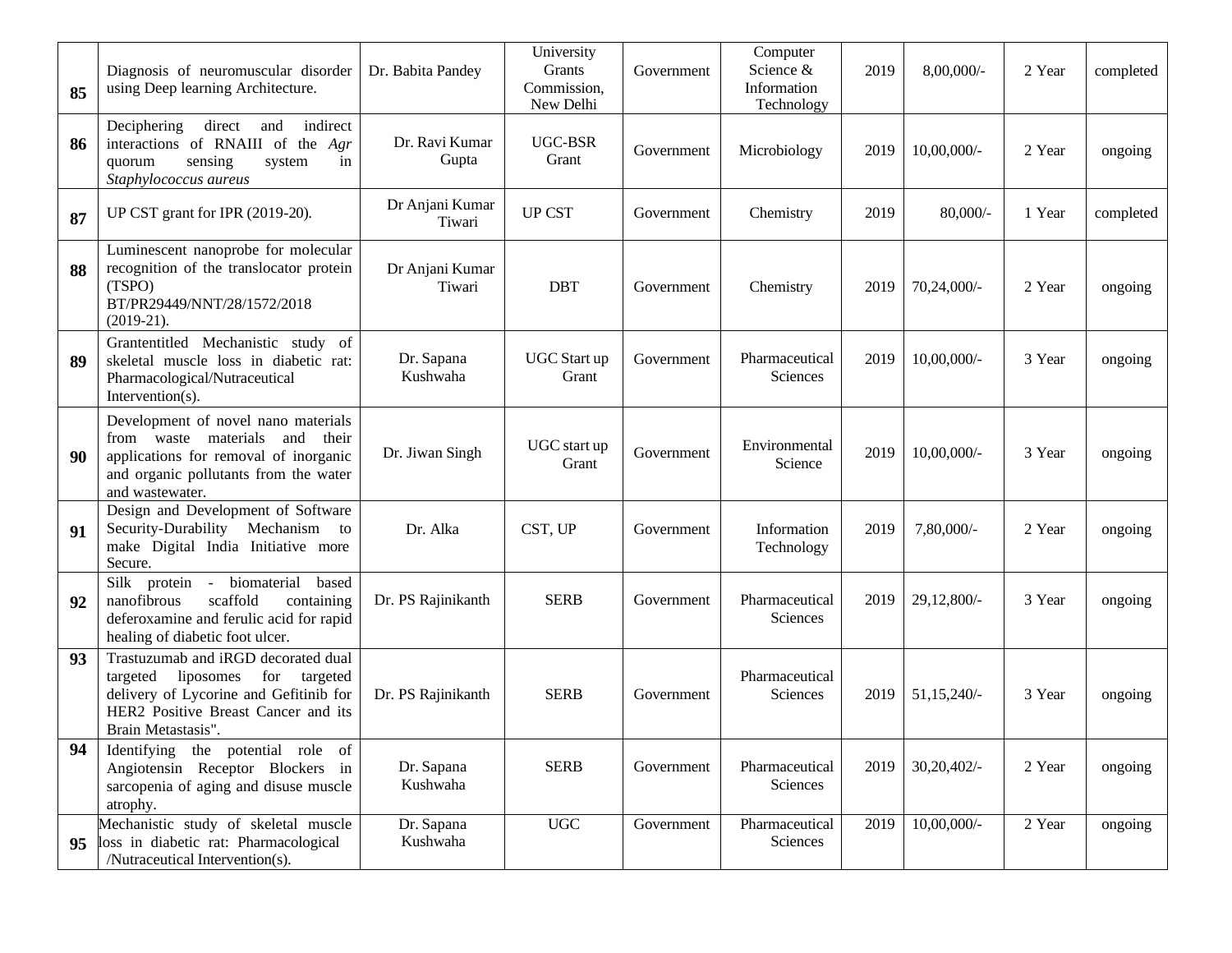| 85 | Diagnosis of neuromuscular disorder<br>using Deep learning Architecture.                                                                                                            | Dr. Babita Pandey         | University<br>Grants<br>Commission,<br>New Delhi | Government | Computer<br>Science &<br>Information<br>Technology | 2019 | 8,00,000/-     | 2 Year | completed |
|----|-------------------------------------------------------------------------------------------------------------------------------------------------------------------------------------|---------------------------|--------------------------------------------------|------------|----------------------------------------------------|------|----------------|--------|-----------|
| 86 | direct and<br>indirect<br>Deciphering<br>interactions of RNAIII of the Agr<br>sensing<br>quorum<br>system<br>in<br>Staphylococcus aureus                                            | Dr. Ravi Kumar<br>Gupta   | <b>UGC-BSR</b><br>Grant                          | Government | Microbiology                                       | 2019 | $10,00,000/$ - | 2 Year | ongoing   |
| 87 | UP CST grant for IPR (2019-20).                                                                                                                                                     | Dr Anjani Kumar<br>Tiwari | <b>UP CST</b>                                    | Government | Chemistry                                          | 2019 | $80,000/$ -    | 1 Year | completed |
| 88 | Luminescent nanoprobe for molecular<br>recognition of the translocator protein<br>(TSPO)<br>BT/PR29449/NNT/28/1572/2018<br>$(2019-21).$                                             | Dr Anjani Kumar<br>Tiwari | <b>DBT</b>                                       | Government | Chemistry                                          | 2019 | 70,24,000/-    | 2 Year | ongoing   |
| 89 | Grantentitled Mechanistic study of<br>skeletal muscle loss in diabetic rat:<br>Pharmacological/Nutraceutical<br>Intervention(s).                                                    | Dr. Sapana<br>Kushwaha    | UGC Start up<br>Grant                            | Government | Pharmaceutical<br>Sciences                         | 2019 | $10,00,000/$ - | 3 Year | ongoing   |
| 90 | Development of novel nano materials<br>from waste materials<br>and<br>their<br>applications for removal of inorganic<br>and organic pollutants from the water<br>and wastewater.    | Dr. Jiwan Singh           | UGC start up<br>Grant                            | Government | Environmental<br>Science                           | 2019 | $10,00,000/$ - | 3 Year | ongoing   |
| 91 | Design and Development of Software<br>Security-Durability Mechanism<br>to<br>make Digital India Initiative more<br>Secure.                                                          | Dr. Alka                  | CST, UP                                          | Government | Information<br>Technology                          | 2019 | 7,80,000/-     | 2 Year | ongoing   |
| 92 | biomaterial<br>Silk protein -<br>based<br>scaffold<br>nanofibrous<br>containing<br>deferoxamine and ferulic acid for rapid<br>healing of diabetic foot ulcer.                       | Dr. PS Rajinikanth        | <b>SERB</b>                                      | Government | Pharmaceutical<br>Sciences                         | 2019 | 29,12,800/-    | 3 Year | ongoing   |
| 93 | Trastuzumab and iRGD decorated dual<br>for targeted<br>targeted<br>liposomes<br>delivery of Lycorine and Gefitinib for<br>HER2 Positive Breast Cancer and its<br>Brain Metastasis". | Dr. PS Rajinikanth        | <b>SERB</b>                                      | Government | Pharmaceutical<br>Sciences                         | 2019 | 51,15,240/-    | 3 Year | ongoing   |
| 94 | Identifying the potential role of<br>Angiotensin Receptor Blockers in<br>sarcopenia of aging and disuse muscle<br>atrophy.                                                          | Dr. Sapana<br>Kushwaha    | <b>SERB</b>                                      | Government | Pharmaceutical<br>Sciences                         | 2019 | 30,20,402/     | 2 Year | ongoing   |
| 95 | Mechanistic study of skeletal muscle<br>loss in diabetic rat: Pharmacological<br>/Nutraceutical Intervention(s).                                                                    | Dr. Sapana<br>Kushwaha    | <b>UGC</b>                                       | Government | Pharmaceutical<br>Sciences                         | 2019 | $10,00,000/$ - | 2 Year | ongoing   |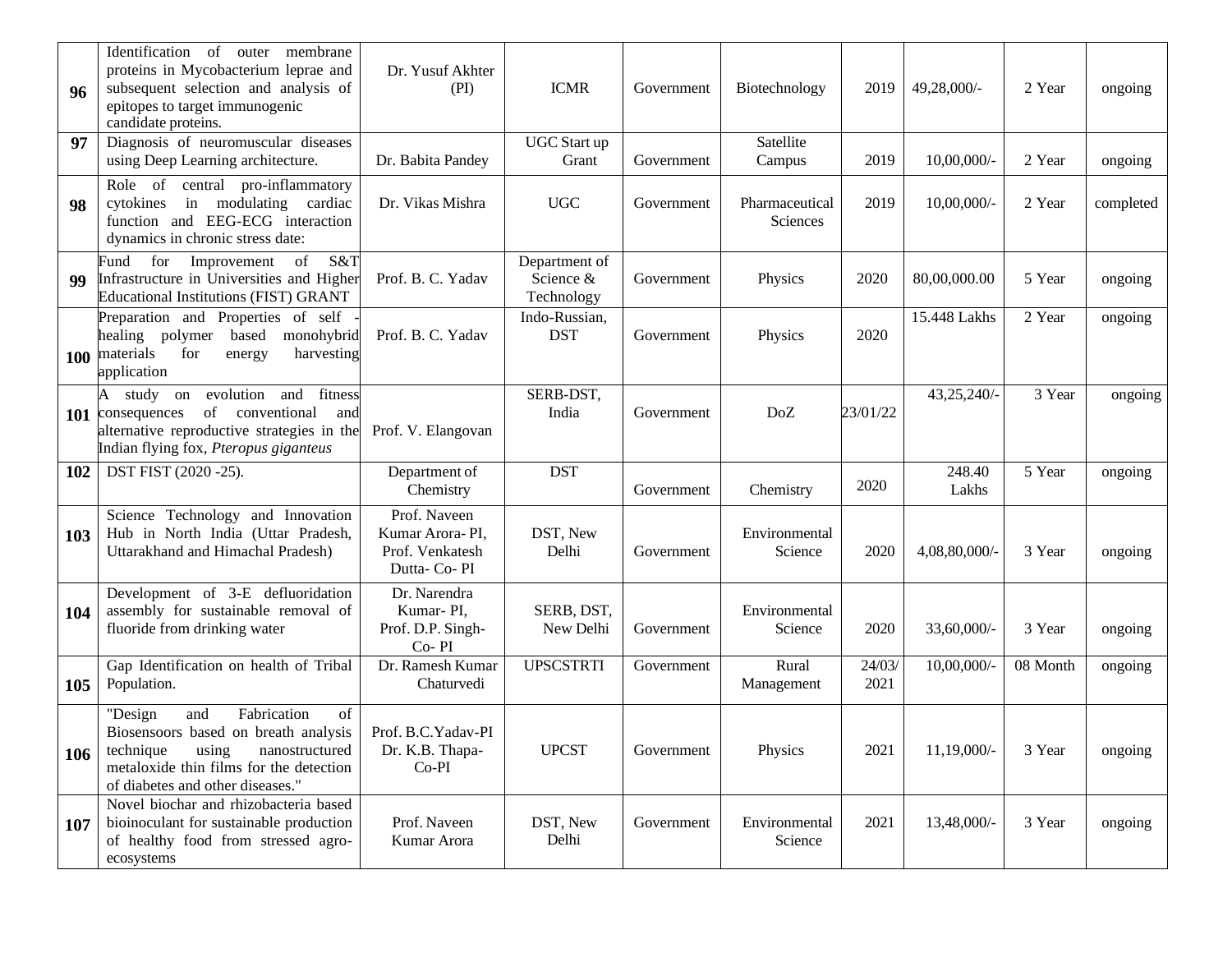| 96  | Identification<br>membrane<br>of<br>outer<br>proteins in Mycobacterium leprae and<br>subsequent selection and analysis of<br>epitopes to target immunogenic<br>candidate proteins.                 | Dr. Yusuf Akhter<br>(PI)                                           | <b>ICMR</b>                                 | Government | Biotechnology              | 2019           | 49,28,000/-     | 2 Year   | ongoing   |
|-----|----------------------------------------------------------------------------------------------------------------------------------------------------------------------------------------------------|--------------------------------------------------------------------|---------------------------------------------|------------|----------------------------|----------------|-----------------|----------|-----------|
| 97  | Diagnosis of neuromuscular diseases<br>using Deep Learning architecture.                                                                                                                           | Dr. Babita Pandey                                                  | UGC Start up<br>Grant                       | Government | Satellite<br>Campus        | 2019           | $10,00,000/$ -  | 2 Year   | ongoing   |
| 98  | Role of central pro-inflammatory<br>in modulating cardiac<br>cytokines<br>function and EEG-ECG interaction<br>dynamics in chronic stress date:                                                     | Dr. Vikas Mishra                                                   | <b>UGC</b>                                  | Government | Pharmaceutical<br>Sciences | 2019           | $10,00,000/$ -  | 2 Year   | completed |
| 99  | S&T<br>for<br>Improvement<br>of<br>Fund<br>Infrastructure in Universities and Higher<br><b>Educational Institutions (FIST) GRANT</b>                                                               | Prof. B. C. Yadav                                                  | Department of<br>Science $\&$<br>Technology | Government | Physics                    | 2020           | 80,00,000.00    | 5 Year   | ongoing   |
|     | Preparation and Properties of self<br>healing polymer based<br>monohybrid<br>100 materials<br>for<br>harvesting<br>energy<br>application                                                           | Prof. B. C. Yadav                                                  | Indo-Russian,<br><b>DST</b>                 | Government | Physics                    | 2020           | 15.448 Lakhs    | 2 Year   | ongoing   |
|     | study on evolution and fitness<br>A<br>of conventional<br>101 consequences<br>and<br>alternative reproductive strategies in the<br>Indian flying fox, Pteropus giganteus                           | Prof. V. Elangovan                                                 | SERB-DST,<br>India                          | Government | DoZ                        | 23/01/22       | 43,25,240/-     | 3 Year   | ongoing   |
| 102 | DST FIST (2020 -25).                                                                                                                                                                               | Department of<br>Chemistry                                         | <b>DST</b>                                  | Government | Chemistry                  | 2020           | 248.40<br>Lakhs | 5 Year   | ongoing   |
| 103 | Science Technology and Innovation<br>Hub in North India (Uttar Pradesh,<br>Uttarakhand and Himachal Pradesh)                                                                                       | Prof. Naveen<br>Kumar Arora-PI,<br>Prof. Venkatesh<br>Dutta- Co-PI | DST, New<br>Delhi                           | Government | Environmental<br>Science   | 2020           | 4,08,80,000/-   | 3 Year   | ongoing   |
| 104 | Development of 3-E defluoridation<br>assembly for sustainable removal of<br>fluoride from drinking water                                                                                           | Dr. Narendra<br>Kumar-PI,<br>Prof. D.P. Singh-<br>Co-PI            | SERB, DST,<br>New Delhi                     | Government | Environmental<br>Science   | 2020           | 33,60,000/-     | 3 Year   | ongoing   |
| 105 | Gap Identification on health of Tribal<br>Population.                                                                                                                                              | Dr. Ramesh Kumar<br>Chaturvedi                                     | <b>UPSCSTRTI</b>                            | Government | Rural<br>Management        | 24/03/<br>2021 | $10,00,000/$ -  | 08 Month | ongoing   |
| 106 | Fabrication<br>of<br>"Design<br>and<br>Biosensoors based on breath analysis<br>technique<br>using<br>nanostructured<br>metaloxide thin films for the detection<br>of diabetes and other diseases." | Prof. B.C. Yadav-PI<br>Dr. K.B. Thapa-<br>$Co-PI$                  | <b>UPCST</b>                                | Government | Physics                    | 2021           | 11,19,000/-     | 3 Year   | ongoing   |
| 107 | Novel biochar and rhizobacteria based<br>bioinoculant for sustainable production<br>of healthy food from stressed agro-<br>ecosystems                                                              | Prof. Naveen<br>Kumar Arora                                        | DST, New<br>Delhi                           | Government | Environmental<br>Science   | 2021           | 13,48,000/-     | 3 Year   | ongoing   |